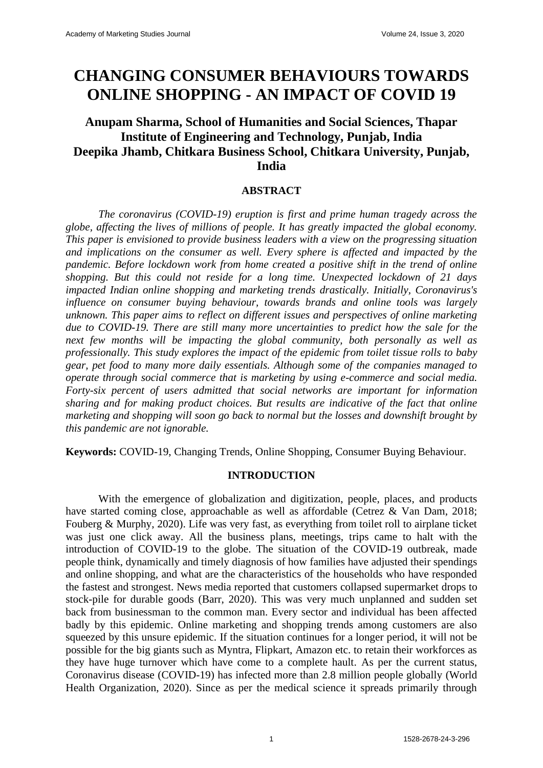# **CHANGING CONSUMER BEHAVIOURS TOWARDS ONLINE SHOPPING - AN IMPACT OF COVID 19**

# **Anupam Sharma, School of Humanities and Social Sciences, Thapar Institute of Engineering and Technology, Punjab, India Deepika Jhamb, Chitkara Business School, Chitkara University, Punjab, India**

#### **ABSTRACT**

*The coronavirus (COVID-19) eruption is first and prime human tragedy across the globe, affecting the lives of millions of people. It has greatly impacted the global economy. This paper is envisioned to provide business leaders with a view on the progressing situation and implications on the consumer as well. Every sphere is affected and impacted by the pandemic. Before lockdown work from home created a positive shift in the trend of online shopping. But this could not reside for a long time. Unexpected lockdown of 21 days impacted Indian online shopping and marketing trends drastically. Initially, Coronavirus's influence on consumer buying behaviour, towards brands and online tools was largely unknown. This paper aims to reflect on different issues and perspectives of online marketing due to COVID-19. There are still many more uncertainties to predict how the sale for the next few months will be impacting the global community, both personally as well as professionally. This study explores the impact of the epidemic from toilet tissue rolls to baby gear, pet food to many more daily essentials. Although some of the companies managed to operate through social commerce that is marketing by using e-commerce and social media. Forty-six percent of users admitted that social networks are important for information sharing and for making product choices. But results are indicative of the fact that online marketing and shopping will soon go back to normal but the losses and downshift brought by this pandemic are not ignorable.*

**Keywords:** COVID-19, Changing Trends, Online Shopping, Consumer Buying Behaviour.

#### **INTRODUCTION**

With the emergence of globalization and digitization, people, places, and products have started coming close, approachable as well as affordable (Cetrez & Van Dam, 2018; Fouberg & Murphy, 2020). Life was very fast, as everything from toilet roll to airplane ticket was just one click away. All the business plans, meetings, trips came to halt with the introduction of COVID-19 to the globe. The situation of the COVID-19 outbreak, made people think, dynamically and timely diagnosis of how families have adjusted their spendings and online shopping, and what are the characteristics of the households who have responded the fastest and strongest. News media reported that customers collapsed supermarket drops to stock-pile for durable goods (Barr, 2020). This was very much unplanned and sudden set back from businessman to the common man. Every sector and individual has been affected badly by this epidemic. Online marketing and shopping trends among customers are also squeezed by this unsure epidemic. If the situation continues for a longer period, it will not be possible for the big giants such as Myntra, Flipkart, Amazon etc. to retain their workforces as they have huge turnover which have come to a complete hault. As per the current status, Coronavirus disease (COVID-19) has infected more than 2.8 million people globally (World Health Organization, 2020). Since as per the medical science it spreads primarily through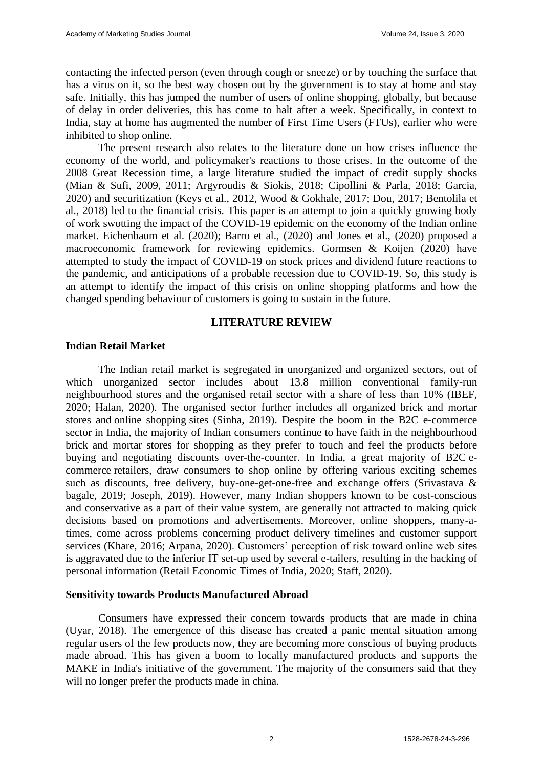contacting the infected person (even through cough or sneeze) or by touching the surface that has a virus on it, so the best way chosen out by the government is to stay at home and stay safe. Initially, this has jumped the number of users of online shopping, globally, but because of delay in order deliveries, this has come to halt after a week. Specifically, in context to India, stay at home has augmented the number of First Time Users (FTUs), earlier who were inhibited to shop online.

The present research also relates to the literature done on how crises influence the economy of the world, and policymaker's reactions to those crises. In the outcome of the 2008 Great Recession time, a large literature studied the impact of credit supply shocks (Mian & Sufi, 2009, 2011; Argyroudis & Siokis, 2018; Cipollini & Parla, 2018; Garcia, 2020) and securitization (Keys et al., 2012, Wood & Gokhale, 2017; Dou, 2017; Bentolila et al., 2018) led to the financial crisis. This paper is an attempt to join a quickly growing body of work swotting the impact of the COVID-19 epidemic on the economy of the Indian online market. Eichenbaum et al. (2020); Barro et al., (2020) and Jones et al., (2020) proposed a macroeconomic framework for reviewing epidemics. Gormsen & Koijen (2020) have attempted to study the impact of COVID-19 on stock prices and dividend future reactions to the pandemic, and anticipations of a probable recession due to COVID-19. So, this study is an attempt to identify the impact of this crisis on online shopping platforms and how the changed spending behaviour of customers is going to sustain in the future.

#### **LITERATURE REVIEW**

#### **Indian Retail Market**

The Indian retail market is segregated in unorganized and organized sectors, out of which unorganized sector includes about 13.8 million conventional family-run neighbourhood stores and the organised retail sector with a share of less than 10% (IBEF, 2020; Halan, 2020). The organised sector further includes all organized brick and mortar stores and [online shopping](https://retail.economictimes.indiatimes.com/tag/online+shopping) sites (Sinha, 2019). Despite the boom in the B2C e-commerce sector in India, the majority of Indian consumers continue to have faith in the neighbourhood brick and mortar stores for shopping as they prefer to touch and feel the products before buying and negotiating discounts over-the-counter. In India, a great majority of B2C [e](https://retail.economictimes.indiatimes.com/tag/ecommerce)[commerce](https://retail.economictimes.indiatimes.com/tag/ecommerce) retailers, draw consumers to shop online by offering various exciting schemes such as discounts, free delivery, buy-one-get-one-free and exchange offers (Srivastava & bagale, 2019; Joseph, 2019). However, many Indian shoppers known to be cost-conscious and conservative as a part of their value system, are generally not attracted to making quick decisions based on promotions and advertisements. Moreover, online shoppers, many-atimes, come across problems concerning product delivery timelines and customer support services (Khare, 2016; Arpana, 2020). Customers' perception of risk toward online web sites is aggravated due to the inferior IT set-up used by several e-tailers, resulting in the hacking of personal information (Retail Economic Times of India, 2020; Staff, 2020).

#### **Sensitivity towards Products Manufactured Abroad**

Consumers have expressed their concern towards products that are made in china (Uyar, 2018). The emergence of this disease has created a panic mental situation among regular users of the few products now, they are becoming more conscious of buying products made abroad. This has given a boom to locally manufactured products and supports the MAKE in India's initiative of the government. The majority of the consumers said that they will no longer prefer the products made in china.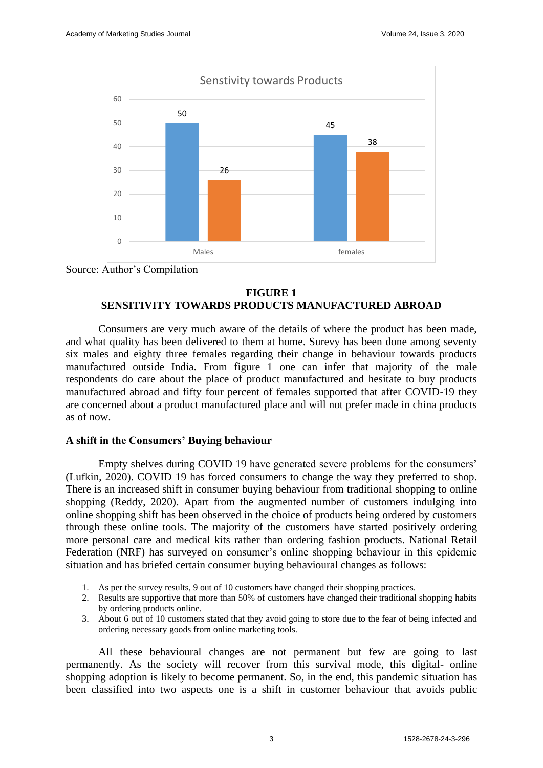

Source: Author's Compilation

# **FIGURE 1 SENSITIVITY TOWARDS PRODUCTS MANUFACTURED ABROAD**

Consumers are very much aware of the details of where the product has been made, and what quality has been delivered to them at home. Surevy has been done among seventy six males and eighty three females regarding their change in behaviour towards products manufactured outside India. From figure 1 one can infer that majority of the male respondents do care about the place of product manufactured and hesitate to buy products manufactured abroad and fifty four percent of females supported that after COVID-19 they are concerned about a product manufactured place and will not prefer made in china products as of now.

# **A shift in the Consumers' Buying behaviour**

Empty shelves during COVID 19 have generated severe problems for the consumers' (Lufkin, 2020). COVID 19 has forced consumers to change the way they preferred to shop. There is an increased shift in consumer buying behaviour from traditional shopping to online shopping (Reddy, 2020). Apart from the augmented number of customers indulging into online shopping shift has been observed in the choice of products being ordered by customers through these online tools. The majority of the customers have started positively ordering more personal care and medical kits rather than ordering fashion products. National Retail Federation (NRF) has surveyed on consumer's online shopping behaviour in this epidemic situation and has briefed certain consumer buying behavioural changes as follows:

- 1. As per the survey results, 9 out of 10 customers have changed their shopping practices.
- 2. Results are supportive that more than 50% of customers have changed their traditional shopping habits by ordering products online.
- 3. About 6 out of 10 customers stated that they avoid going to store due to the fear of being infected and ordering necessary goods from online marketing tools.

All these behavioural changes are not permanent but few are going to last permanently. As the society will recover from this survival mode, this digital- online shopping adoption is likely to become permanent. So, in the end, this pandemic situation has been classified into two aspects one is a shift in customer behaviour that avoids public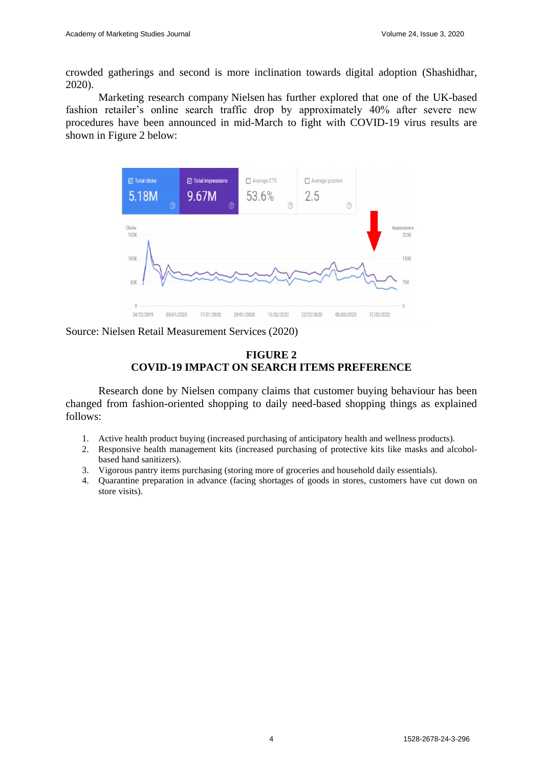crowded gatherings and second is more inclination towards digital adoption (Shashidhar, 2020).

Marketing research company [Nielsen](https://www.nielsen.com/us/en/insights/article/2020/nielsen-investigation-pandemic-pantries-pressure-supply-chain-amidst-covid-19-fears/) has further explored that one of the UK-based fashion retailer's online search traffic drop by approximately 40% after severe new procedures have been announced in mid-March to fight with COVID-19 virus results are shown in Figure 2 below:



Source: Nielsen Retail Measurement Services (2020)



Research done by [Nielsen](https://www.nielsen.com/us/en/insights/article/2020/nielsen-investigation-pandemic-pantries-pressure-supply-chain-amidst-covid-19-fears/) company claims that customer buying behaviour has been changed from fashion-oriented shopping to daily need-based shopping things as explained follows:

- 1. Active health product buying (increased purchasing of anticipatory health and wellness products).
- 2. Responsive health management kits (increased purchasing of protective kits like masks and alcoholbased hand sanitizers).
- 3. Vigorous pantry items purchasing (storing more of groceries and household daily essentials).
- 4. Quarantine preparation in advance (facing shortages of goods in stores, customers have cut down on store visits).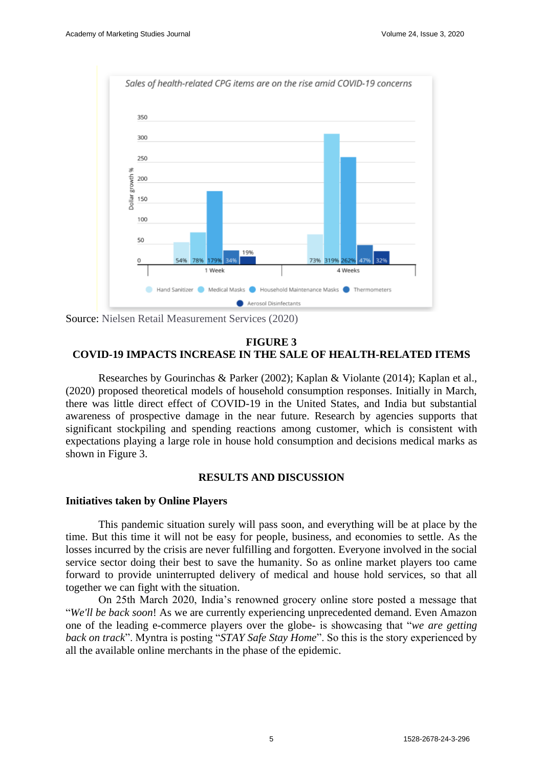

Source: Nielsen Retail Measurement Services (2020)

#### **FIGURE 3 COVID-19 IMPACTS INCREASE IN THE SALE OF HEALTH-RELATED ITEMS**

Researches by Gourinchas & Parker (2002); Kaplan & Violante (2014); Kaplan et al., (2020) proposed theoretical models of household consumption responses. Initially in March, there was little direct effect of COVID-19 in the United States, and India but substantial awareness of prospective damage in the near future. Research by agencies supports that significant stockpiling and spending reactions among customer, which is consistent with expectations playing a large role in house hold consumption and decisions medical marks as shown in Figure 3.

# **RESULTS AND DISCUSSION**

## **Initiatives taken by Online Players**

This pandemic situation surely will pass soon, and everything will be at place by the time. But this time it will not be easy for people, business, and economies to settle. As the losses incurred by the crisis are never fulfilling and forgotten. Everyone involved in the social service sector doing their best to save the humanity. So as online market players too came forward to provide uninterrupted delivery of medical and house hold services, so that all together we can fight with the situation.

On 25th March 2020, India's renowned grocery online store posted a message that "*We'll be back soon*! As we are currently experiencing unprecedented demand. Even Amazon one of the leading e-commerce players over the globe- is showcasing that "*we are getting back on track*". Myntra is posting "*STAY Safe Stay Home*". So this is the story experienced by all the available online merchants in the phase of the epidemic.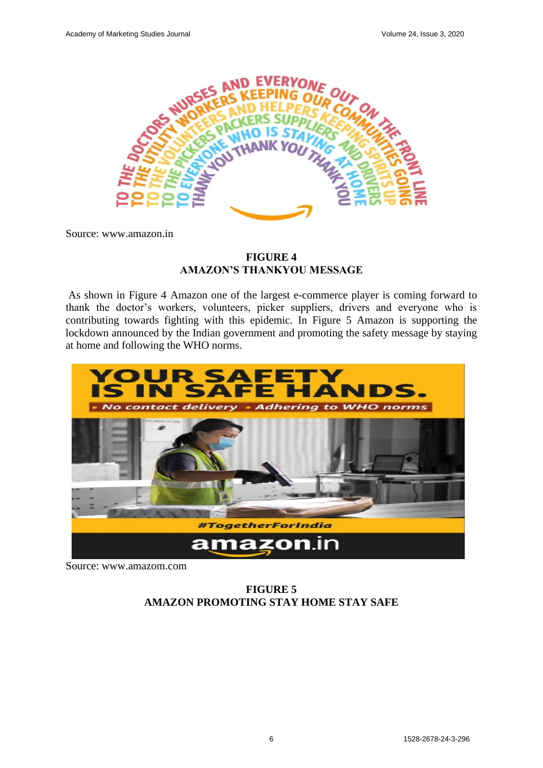

Source: www.amazon.in

# **FIGURE 4 AMAZON'S THANKYOU MESSAGE**

As shown in Figure 4 Amazon one of the largest e-commerce player is coming forward to thank the doctor's workers, volunteers, picker suppliers, drivers and everyone who is contributing towards fighting with this epidemic. In Figure 5 Amazon is supporting the lockdown announced by the Indian government and promoting the safety message by staying at home and following the WHO norms.



Source: www.amazom.com

**FIGURE 5 AMAZON PROMOTING STAY HOME STAY SAFE**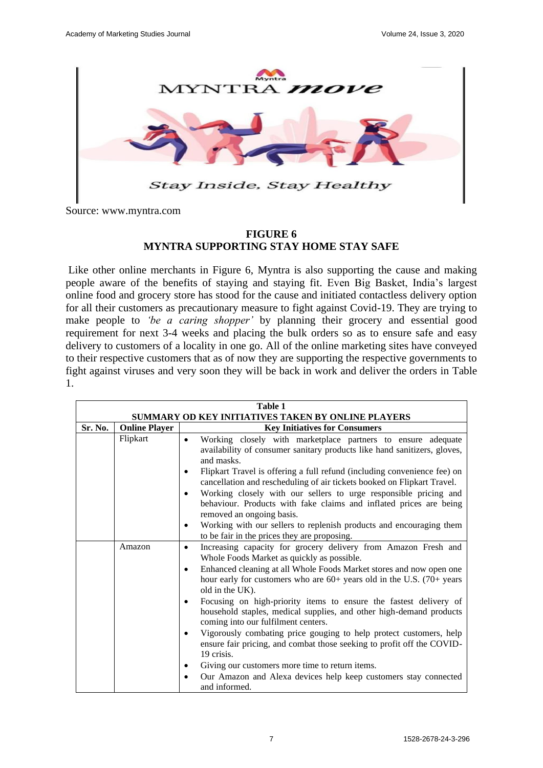

Source: www.myntra.com

# **FIGURE 6 MYNTRA SUPPORTING STAY HOME STAY SAFE**

Like other online merchants in Figure 6, Myntra is also supporting the cause and making people aware of the benefits of staying and staying fit. Even Big Basket, India's largest online food and grocery store has stood for the cause and initiated contactless delivery option for all their customers as precautionary measure to fight against Covid-19. They are trying to make people to *'be a caring shopper'* by planning their grocery and essential good requirement for next 3-4 weeks and placing the bulk orders so as to ensure safe and easy delivery to customers of a locality in one go. All of the online marketing sites have conveyed to their respective customers that as of now they are supporting the respective governments to fight against viruses and very soon they will be back in work and deliver the orders in Table 1.

| Table 1                                            |                      |                                                                                                                                                                                              |  |
|----------------------------------------------------|----------------------|----------------------------------------------------------------------------------------------------------------------------------------------------------------------------------------------|--|
| SUMMARY OD KEY INITIATIVES TAKEN BY ONLINE PLAYERS |                      |                                                                                                                                                                                              |  |
| Sr. No.                                            | <b>Online Player</b> | <b>Key Initiatives for Consumers</b>                                                                                                                                                         |  |
|                                                    | Flipkart             | Working closely with marketplace partners to ensure adequate<br>$\bullet$                                                                                                                    |  |
|                                                    |                      | availability of consumer sanitary products like hand sanitizers, gloves,<br>and masks.                                                                                                       |  |
|                                                    |                      | Flipkart Travel is offering a full refund (including convenience fee) on<br>٠<br>cancellation and rescheduling of air tickets booked on Flipkart Travel.                                     |  |
|                                                    |                      | Working closely with our sellers to urge responsible pricing and<br>٠                                                                                                                        |  |
|                                                    |                      | behaviour. Products with fake claims and inflated prices are being<br>removed an ongoing basis.                                                                                              |  |
|                                                    |                      | Working with our sellers to replenish products and encouraging them                                                                                                                          |  |
|                                                    |                      | to be fair in the prices they are proposing.                                                                                                                                                 |  |
|                                                    | Amazon               | Increasing capacity for grocery delivery from Amazon Fresh and<br>$\bullet$                                                                                                                  |  |
|                                                    |                      | Whole Foods Market as quickly as possible.                                                                                                                                                   |  |
|                                                    |                      | Enhanced cleaning at all Whole Foods Market stores and now open one<br>$\bullet$<br>hour early for customers who are $60+$ years old in the U.S. (70+ years<br>old in the UK).               |  |
|                                                    |                      | Focusing on high-priority items to ensure the fastest delivery of<br>$\bullet$<br>household staples, medical supplies, and other high-demand products<br>coming into our fulfilment centers. |  |
|                                                    |                      | Vigorously combating price gouging to help protect customers, help<br>$\bullet$<br>ensure fair pricing, and combat those seeking to profit off the COVID-<br>19 crisis.                      |  |
|                                                    |                      | Giving our customers more time to return items.                                                                                                                                              |  |
|                                                    |                      | Our Amazon and Alexa devices help keep customers stay connected<br>$\bullet$<br>and informed.                                                                                                |  |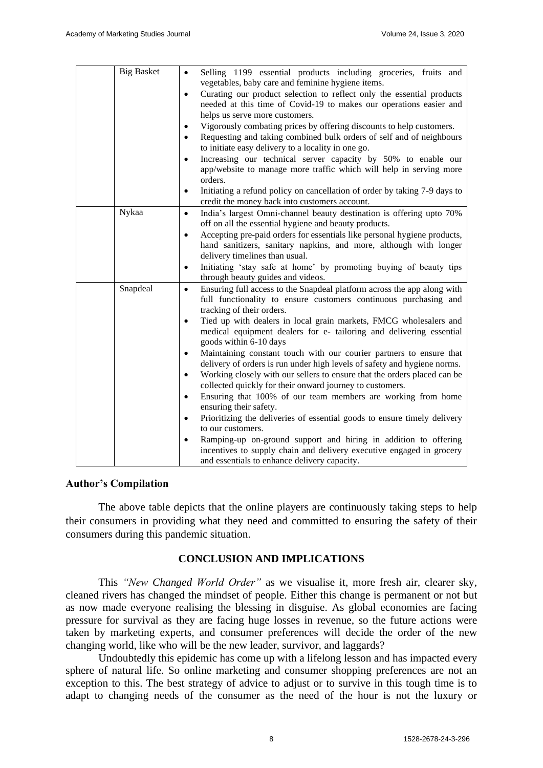| <b>Big Basket</b> | Selling 1199 essential products including groceries, fruits and<br>$\bullet$<br>vegetables, baby care and feminine hygiene items. |
|-------------------|-----------------------------------------------------------------------------------------------------------------------------------|
|                   | Curating our product selection to reflect only the essential products<br>$\bullet$                                                |
|                   | needed at this time of Covid-19 to makes our operations easier and                                                                |
|                   | helps us serve more customers.                                                                                                    |
|                   | Vigorously combating prices by offering discounts to help customers.<br>$\bullet$                                                 |
|                   | Requesting and taking combined bulk orders of self and of neighbours<br>$\bullet$                                                 |
|                   | to initiate easy delivery to a locality in one go.                                                                                |
|                   | Increasing our technical server capacity by 50% to enable our<br>$\bullet$                                                        |
|                   | app/website to manage more traffic which will help in serving more                                                                |
|                   | orders.                                                                                                                           |
|                   | Initiating a refund policy on cancellation of order by taking 7-9 days to<br>$\bullet$                                            |
|                   | credit the money back into customers account.                                                                                     |
| Nykaa             | India's largest Omni-channel beauty destination is offering upto 70%<br>$\bullet$                                                 |
|                   | off on all the essential hygiene and beauty products.                                                                             |
|                   | Accepting pre-paid orders for essentials like personal hygiene products,<br>$\bullet$                                             |
|                   | hand sanitizers, sanitary napkins, and more, although with longer                                                                 |
|                   | delivery timelines than usual.                                                                                                    |
|                   | Initiating 'stay safe at home' by promoting buying of beauty tips<br>$\bullet$                                                    |
|                   | through beauty guides and videos.                                                                                                 |
| Snapdeal          | Ensuring full access to the Snapdeal platform across the app along with<br>$\bullet$                                              |
|                   | full functionality to ensure customers continuous purchasing and                                                                  |
|                   | tracking of their orders.                                                                                                         |
|                   | Tied up with dealers in local grain markets, FMCG wholesalers and<br>$\bullet$                                                    |
|                   | medical equipment dealers for e- tailoring and delivering essential                                                               |
|                   | goods within 6-10 days                                                                                                            |
|                   | Maintaining constant touch with our courier partners to ensure that<br>$\bullet$                                                  |
|                   | delivery of orders is run under high levels of safety and hygiene norms.                                                          |
|                   | Working closely with our sellers to ensure that the orders placed can be<br>$\bullet$                                             |
|                   | collected quickly for their onward journey to customers.                                                                          |
|                   | Ensuring that 100% of our team members are working from home<br>$\bullet$                                                         |
|                   | ensuring their safety.                                                                                                            |
|                   | Prioritizing the deliveries of essential goods to ensure timely delivery<br>$\bullet$                                             |
|                   | to our customers.                                                                                                                 |
|                   | Ramping-up on-ground support and hiring in addition to offering<br>$\bullet$                                                      |
|                   | incentives to supply chain and delivery executive engaged in grocery                                                              |
|                   | and essentials to enhance delivery capacity.                                                                                      |

## **Author's Compilation**

The above table depicts that the online players are continuously taking steps to help their consumers in providing what they need and committed to ensuring the safety of their consumers during this pandemic situation.

# **CONCLUSION AND IMPLICATIONS**

This *"New Changed World Order"* as we visualise it, more fresh air, clearer sky, cleaned rivers has changed the mindset of people. Either this change is permanent or not but as now made everyone realising the blessing in disguise. As global economies are facing pressure for survival as they are facing huge losses in revenue, so the future actions were taken by marketing experts, and consumer preferences will decide the order of the new changing world, like who will be the new leader, survivor, and laggards?

Undoubtedly this epidemic has come up with a lifelong lesson and has impacted every sphere of natural life. So online marketing and consumer shopping preferences are not an exception to this. The best strategy of advice to adjust or to survive in this tough time is to adapt to changing needs of the consumer as the need of the hour is not the luxury or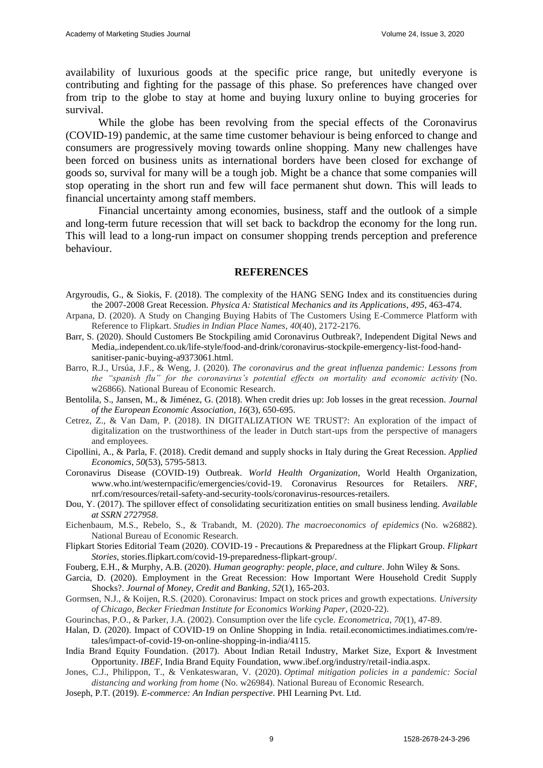availability of luxurious goods at the specific price range, but unitedly everyone is contributing and fighting for the passage of this phase. So preferences have changed over from trip to the globe to stay at home and buying luxury online to buying groceries for survival.

While the globe has been revolving from the special effects of the Coronavirus (COVID-19) pandemic, at the same time customer behaviour is being enforced to change and consumers are progressively moving towards online shopping. Many new challenges have been forced on business units as international borders have been closed for exchange of goods so, survival for many will be a tough job. Might be a chance that some companies will stop operating in the short run and few will face permanent shut down. This will leads to financial uncertainty among staff members.

Financial uncertainty among economies, business, staff and the outlook of a simple and long-term future recession that will set back to backdrop the economy for the long run. This will lead to a long-run impact on consumer shopping trends perception and preference behaviour.

#### **REFERENCES**

- Argyroudis, G., & Siokis, F. (2018). The complexity of the HANG SENG Index and its constituencies during the 2007-2008 Great Recession. *Physica A: Statistical Mechanics and its Applications*, *495*, 463-474.
- Arpana, D. (2020). A Study on Changing Buying Habits of The Customers Using E-Commerce Platform with Reference to Flipkart. *Studies in Indian Place Names*, *40*(40), 2172-2176.
- Barr, S. (2020). Should Customers Be Stockpiling amid Coronavirus Outbreak?, Independent Digital News and Media,.independent.co.uk/life-style/food-and-drink/coronavirus-stockpile-emergency-list-food-handsanitiser-panic-buying-a9373061.html.
- Barro, R.J., Ursúa, J.F., & Weng, J. (2020). *The coronavirus and the great influenza pandemic: Lessons from the "spanish flu" for the coronavirus's potential effects on mortality and economic activity* (No. w26866). National Bureau of Economic Research.
- Bentolila, S., Jansen, M., & Jiménez, G. (2018). When credit dries up: Job losses in the great recession. *Journal of the European Economic Association*, *16*(3), 650-695.
- Cetrez, Z., & Van Dam, P. (2018). IN DIGITALIZATION WE TRUST?: An exploration of the impact of digitalization on the trustworthiness of the leader in Dutch start-ups from the perspective of managers and employees.
- Cipollini, A., & Parla, F. (2018). Credit demand and supply shocks in Italy during the Great Recession. *Applied Economics*, *50*(53), 5795-5813.
- Coronavirus Disease (COVID-19) Outbreak. *World Health Organization*, World Health Organization, www.who.int/westernpacific/emergencies/covid-19. Coronavirus Resources for Retailers. *NRF*, nrf.com/resources/retail-safety-and-security-tools/coronavirus-resources-retailers.
- Dou, Y. (2017). The spillover effect of consolidating securitization entities on small business lending. *Available at SSRN 2727958*.
- Eichenbaum, M.S., Rebelo, S., & Trabandt, M. (2020). *The macroeconomics of epidemics* (No. w26882). National Bureau of Economic Research.
- Flipkart Stories Editorial Team (2020). COVID-19 Precautions & Preparedness at the Flipkart Group. *Flipkart Stories*, stories.flipkart.com/covid-19-preparedness-flipkart-group/.
- Fouberg, E.H., & Murphy, A.B. (2020). *Human geography: people, place, and culture*. John Wiley & Sons.
- Garcia, D. (2020). Employment in the Great Recession: How Important Were Household Credit Supply Shocks?. *Journal of Money, Credit and Banking*, *52*(1), 165-203.
- Gormsen, N.J., & Koijen, R.S. (2020). Coronavirus: Impact on stock prices and growth expectations. *University of Chicago, Becker Friedman Institute for Economics Working Paper*, (2020-22).
- Gourinchas, P.O., & Parker, J.A. (2002). Consumption over the life cycle. *Econometrica*, *70*(1), 47-89.
- Halan, D. (2020). Impact of COVID-19 on Online Shopping in India. retail.economictimes.indiatimes.com/retales/impact-of-covid-19-on-online-shopping-in-india/4115.
- India Brand Equity Foundation. (2017). About Indian Retail Industry, Market Size, Export & Investment Opportunity. *IBEF*, India Brand Equity Foundation, www.ibef.org/industry/retail-india.aspx.
- Jones, C.J., Philippon, T., & Venkateswaran, V. (2020). *Optimal mitigation policies in a pandemic: Social distancing and working from home* (No. w26984). National Bureau of Economic Research.
- Joseph, P.T. (2019). *E-commerce: An Indian perspective*. PHI Learning Pvt. Ltd.